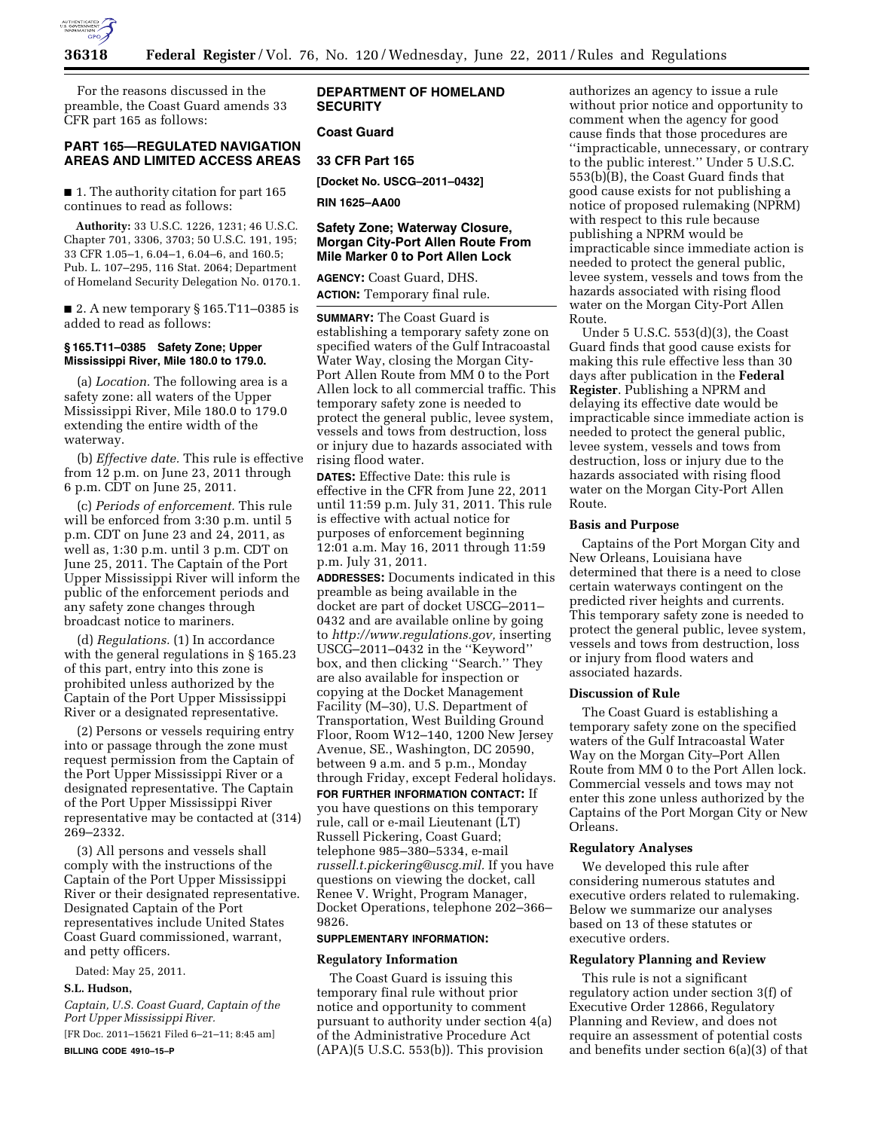

For the reasons discussed in the preamble, the Coast Guard amends 33 CFR part 165 as follows:

## **PART 165—REGULATED NAVIGATION AREAS AND LIMITED ACCESS AREAS**

■ 1. The authority citation for part 165 continues to read as follows:

**Authority:** 33 U.S.C. 1226, 1231; 46 U.S.C. Chapter 701, 3306, 3703; 50 U.S.C. 191, 195; 33 CFR 1.05–1, 6.04–1, 6.04–6, and 160.5; Pub. L. 107–295, 116 Stat. 2064; Department of Homeland Security Delegation No. 0170.1.

■ 2. A new temporary § 165.T11–0385 is added to read as follows:

#### **§ 165.T11–0385 Safety Zone; Upper Mississippi River, Mile 180.0 to 179.0.**

(a) *Location.* The following area is a safety zone: all waters of the Upper Mississippi River, Mile 180.0 to 179.0 extending the entire width of the waterway.

(b) *Effective date.* This rule is effective from 12 p.m. on June 23, 2011 through 6 p.m. CDT on June 25, 2011.

(c) *Periods of enforcement.* This rule will be enforced from 3:30 p.m. until 5 p.m. CDT on June 23 and 24, 2011, as well as, 1:30 p.m. until 3 p.m. CDT on June 25, 2011. The Captain of the Port Upper Mississippi River will inform the public of the enforcement periods and any safety zone changes through broadcast notice to mariners.

(d) *Regulations.* (1) In accordance with the general regulations in § 165.23 of this part, entry into this zone is prohibited unless authorized by the Captain of the Port Upper Mississippi River or a designated representative.

(2) Persons or vessels requiring entry into or passage through the zone must request permission from the Captain of the Port Upper Mississippi River or a designated representative. The Captain of the Port Upper Mississippi River representative may be contacted at (314) 269–2332.

(3) All persons and vessels shall comply with the instructions of the Captain of the Port Upper Mississippi River or their designated representative. Designated Captain of the Port representatives include United States Coast Guard commissioned, warrant, and petty officers.

Dated: May 25, 2011.

## **S.L. Hudson,**

*Captain, U.S. Coast Guard, Captain of the Port Upper Mississippi River.* 

[FR Doc. 2011–15621 Filed 6–21–11; 8:45 am] **BILLING CODE 4910–15–P** 

## **DEPARTMENT OF HOMELAND SECURITY**

## **Coast Guard**

### **33 CFR Part 165**

**[Docket No. USCG–2011–0432]** 

**RIN 1625–AA00** 

## **Safety Zone; Waterway Closure, Morgan City-Port Allen Route From Mile Marker 0 to Port Allen Lock**

**AGENCY:** Coast Guard, DHS. **ACTION:** Temporary final rule.

**SUMMARY:** The Coast Guard is establishing a temporary safety zone on specified waters of the Gulf Intracoastal Water Way, closing the Morgan City-Port Allen Route from MM 0 to the Port Allen lock to all commercial traffic. This temporary safety zone is needed to protect the general public, levee system, vessels and tows from destruction, loss or injury due to hazards associated with rising flood water.

**DATES:** Effective Date: this rule is effective in the CFR from June 22, 2011 until 11:59 p.m. July 31, 2011. This rule is effective with actual notice for purposes of enforcement beginning 12:01 a.m. May 16, 2011 through 11:59 p.m. July 31, 2011.

**ADDRESSES:** Documents indicated in this preamble as being available in the docket are part of docket USCG–2011– 0432 and are available online by going to *[http://www.regulations.gov,](http://www.regulations.gov)* inserting USCG–2011–0432 in the ''Keyword'' box, and then clicking ''Search.'' They are also available for inspection or copying at the Docket Management Facility (M–30), U.S. Department of Transportation, West Building Ground Floor, Room W12–140, 1200 New Jersey Avenue, SE., Washington, DC 20590, between 9 a.m. and 5 p.m., Monday through Friday, except Federal holidays.

**FOR FURTHER INFORMATION CONTACT:** If you have questions on this temporary rule, call or e-mail Lieutenant (LT) Russell Pickering, Coast Guard; telephone 985–380–5334, e-mail *[russell.t.pickering@uscg.mil.](mailto:russell.t.pickering@uscg.mil)* If you have questions on viewing the docket, call Renee V. Wright, Program Manager, Docket Operations, telephone 202–366–

#### **SUPPLEMENTARY INFORMATION:**

#### **Regulatory Information**

9826.

The Coast Guard is issuing this temporary final rule without prior notice and opportunity to comment pursuant to authority under section 4(a) of the Administrative Procedure Act (APA)(5 U.S.C. 553(b)). This provision

authorizes an agency to issue a rule without prior notice and opportunity to comment when the agency for good cause finds that those procedures are ''impracticable, unnecessary, or contrary to the public interest.'' Under 5 U.S.C. 553(b)(B), the Coast Guard finds that good cause exists for not publishing a notice of proposed rulemaking (NPRM) with respect to this rule because publishing a NPRM would be impracticable since immediate action is needed to protect the general public, levee system, vessels and tows from the hazards associated with rising flood water on the Morgan City-Port Allen Route.

Under 5 U.S.C. 553(d)(3), the Coast Guard finds that good cause exists for making this rule effective less than 30 days after publication in the **Federal Register**. Publishing a NPRM and delaying its effective date would be impracticable since immediate action is needed to protect the general public, levee system, vessels and tows from destruction, loss or injury due to the hazards associated with rising flood water on the Morgan City-Port Allen Route.

### **Basis and Purpose**

Captains of the Port Morgan City and New Orleans, Louisiana have determined that there is a need to close certain waterways contingent on the predicted river heights and currents. This temporary safety zone is needed to protect the general public, levee system, vessels and tows from destruction, loss or injury from flood waters and associated hazards.

#### **Discussion of Rule**

The Coast Guard is establishing a temporary safety zone on the specified waters of the Gulf Intracoastal Water Way on the Morgan City–Port Allen Route from MM 0 to the Port Allen lock. Commercial vessels and tows may not enter this zone unless authorized by the Captains of the Port Morgan City or New Orleans.

## **Regulatory Analyses**

We developed this rule after considering numerous statutes and executive orders related to rulemaking. Below we summarize our analyses based on 13 of these statutes or executive orders.

#### **Regulatory Planning and Review**

This rule is not a significant regulatory action under section 3(f) of Executive Order 12866, Regulatory Planning and Review, and does not require an assessment of potential costs and benefits under section 6(a)(3) of that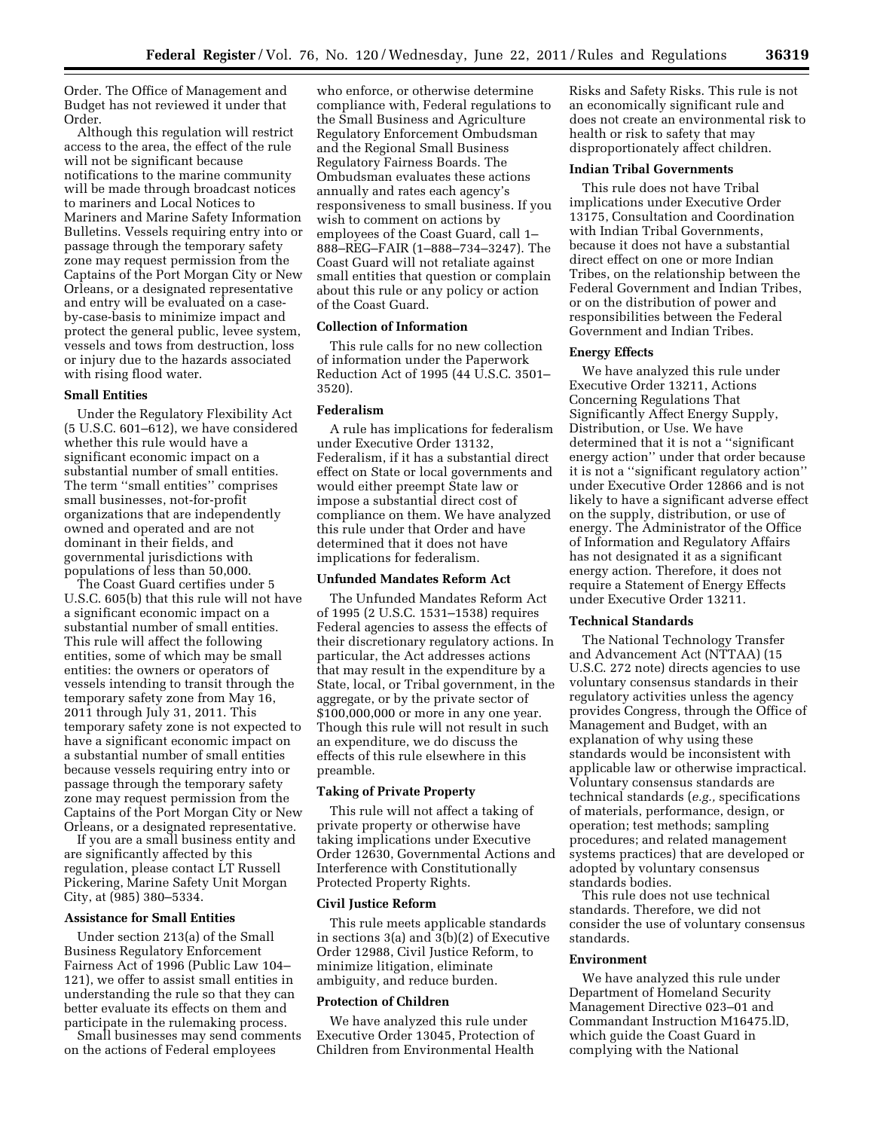Order. The Office of Management and Budget has not reviewed it under that Order.

Although this regulation will restrict access to the area, the effect of the rule will not be significant because notifications to the marine community will be made through broadcast notices to mariners and Local Notices to Mariners and Marine Safety Information Bulletins. Vessels requiring entry into or passage through the temporary safety zone may request permission from the Captains of the Port Morgan City or New Orleans, or a designated representative and entry will be evaluated on a caseby-case-basis to minimize impact and protect the general public, levee system, vessels and tows from destruction, loss or injury due to the hazards associated with rising flood water.

#### **Small Entities**

Under the Regulatory Flexibility Act (5 U.S.C. 601–612), we have considered whether this rule would have a significant economic impact on a substantial number of small entities. The term ''small entities'' comprises small businesses, not-for-profit organizations that are independently owned and operated and are not dominant in their fields, and governmental jurisdictions with populations of less than 50,000.

The Coast Guard certifies under 5 U.S.C. 605(b) that this rule will not have a significant economic impact on a substantial number of small entities. This rule will affect the following entities, some of which may be small entities: the owners or operators of vessels intending to transit through the temporary safety zone from May 16, 2011 through July 31, 2011. This temporary safety zone is not expected to have a significant economic impact on a substantial number of small entities because vessels requiring entry into or passage through the temporary safety zone may request permission from the Captains of the Port Morgan City or New Orleans, or a designated representative.

If you are a small business entity and are significantly affected by this regulation, please contact LT Russell Pickering, Marine Safety Unit Morgan City, at (985) 380–5334.

#### **Assistance for Small Entities**

Under section 213(a) of the Small Business Regulatory Enforcement Fairness Act of 1996 (Public Law 104– 121), we offer to assist small entities in understanding the rule so that they can better evaluate its effects on them and participate in the rulemaking process.

Small businesses may send comments on the actions of Federal employees

who enforce, or otherwise determine compliance with, Federal regulations to the Small Business and Agriculture Regulatory Enforcement Ombudsman and the Regional Small Business Regulatory Fairness Boards. The Ombudsman evaluates these actions annually and rates each agency's responsiveness to small business. If you wish to comment on actions by employees of the Coast Guard, call 1– 888–REG–FAIR (1–888–734–3247). The Coast Guard will not retaliate against small entities that question or complain about this rule or any policy or action of the Coast Guard.

## **Collection of Information**

This rule calls for no new collection of information under the Paperwork Reduction Act of 1995 (44 U.S.C. 3501– 3520).

### **Federalism**

A rule has implications for federalism under Executive Order 13132, Federalism, if it has a substantial direct effect on State or local governments and would either preempt State law or impose a substantial direct cost of compliance on them. We have analyzed this rule under that Order and have determined that it does not have implications for federalism.

### **Unfunded Mandates Reform Act**

The Unfunded Mandates Reform Act of 1995 (2 U.S.C. 1531–1538) requires Federal agencies to assess the effects of their discretionary regulatory actions. In particular, the Act addresses actions that may result in the expenditure by a State, local, or Tribal government, in the aggregate, or by the private sector of \$100,000,000 or more in any one year. Though this rule will not result in such an expenditure, we do discuss the effects of this rule elsewhere in this preamble.

## **Taking of Private Property**

This rule will not affect a taking of private property or otherwise have taking implications under Executive Order 12630, Governmental Actions and Interference with Constitutionally Protected Property Rights.

#### **Civil Justice Reform**

This rule meets applicable standards in sections 3(a) and 3(b)(2) of Executive Order 12988, Civil Justice Reform, to minimize litigation, eliminate ambiguity, and reduce burden.

#### **Protection of Children**

We have analyzed this rule under Executive Order 13045, Protection of Children from Environmental Health

Risks and Safety Risks. This rule is not an economically significant rule and does not create an environmental risk to health or risk to safety that may disproportionately affect children.

### **Indian Tribal Governments**

This rule does not have Tribal implications under Executive Order 13175, Consultation and Coordination with Indian Tribal Governments, because it does not have a substantial direct effect on one or more Indian Tribes, on the relationship between the Federal Government and Indian Tribes, or on the distribution of power and responsibilities between the Federal Government and Indian Tribes.

## **Energy Effects**

We have analyzed this rule under Executive Order 13211, Actions Concerning Regulations That Significantly Affect Energy Supply, Distribution, or Use. We have determined that it is not a ''significant energy action'' under that order because it is not a ''significant regulatory action'' under Executive Order 12866 and is not likely to have a significant adverse effect on the supply, distribution, or use of energy. The Administrator of the Office of Information and Regulatory Affairs has not designated it as a significant energy action. Therefore, it does not require a Statement of Energy Effects under Executive Order 13211.

### **Technical Standards**

The National Technology Transfer and Advancement Act (NTTAA) (15 U.S.C. 272 note) directs agencies to use voluntary consensus standards in their regulatory activities unless the agency provides Congress, through the Office of Management and Budget, with an explanation of why using these standards would be inconsistent with applicable law or otherwise impractical. Voluntary consensus standards are technical standards (*e.g.,* specifications of materials, performance, design, or operation; test methods; sampling procedures; and related management systems practices) that are developed or adopted by voluntary consensus standards bodies.

This rule does not use technical standards. Therefore, we did not consider the use of voluntary consensus standards.

#### **Environment**

We have analyzed this rule under Department of Homeland Security Management Directive 023–01 and Commandant Instruction M16475.lD, which guide the Coast Guard in complying with the National